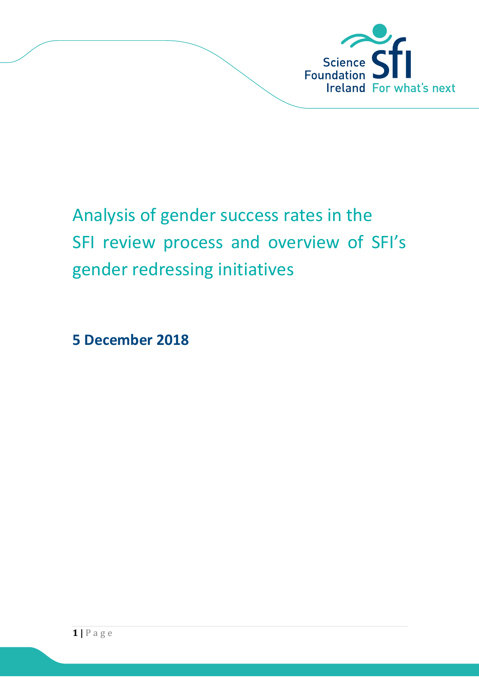

# Analysis of gender success rates in the SFI review process and overview of SFI's gender redressing initiatives

**5 December 2018**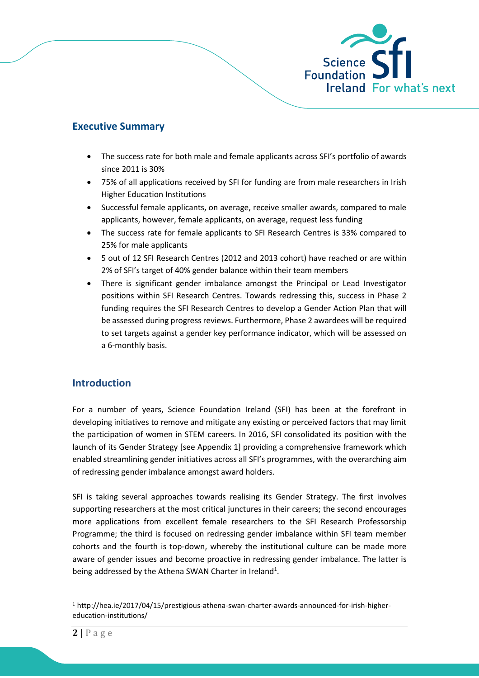

# **Executive Summary**

- The success rate for both male and female applicants across SFI's portfolio of awards since 2011 is 30%
- 75% of all applications received by SFI for funding are from male researchers in Irish Higher Education Institutions
- Successful female applicants, on average, receive smaller awards, compared to male applicants, however, female applicants, on average, request less funding
- The success rate for female applicants to SFI Research Centres is 33% compared to 25% for male applicants
- 5 out of 12 SFI Research Centres (2012 and 2013 cohort) have reached or are within 2% of SFI's target of 40% gender balance within their team members
- There is significant gender imbalance amongst the Principal or Lead Investigator positions within SFI Research Centres. Towards redressing this, success in Phase 2 funding requires the SFI Research Centres to develop a Gender Action Plan that will be assessed during progress reviews. Furthermore, Phase 2 awardees will be required to set targets against a gender key performance indicator, which will be assessed on a 6-monthly basis.

## **Introduction**

For a number of years, Science Foundation Ireland (SFI) has been at the forefront in developing initiatives to remove and mitigate any existing or perceived factors that may limit the participation of women in STEM careers. In 2016, SFI consolidated its position with the launch of its Gender Strategy [see Appendix 1] providing a comprehensive framework which enabled streamlining gender initiatives across all SFI's programmes, with the overarching aim of redressing gender imbalance amongst award holders.

SFI is taking several approaches towards realising its Gender Strategy. The first involves supporting researchers at the most critical junctures in their careers; the second encourages more applications from excellent female researchers to the SFI Research Professorship Programme; the third is focused on redressing gender imbalance within SFI team member cohorts and the fourth is top-down, whereby the institutional culture can be made more aware of gender issues and become proactive in redressing gender imbalance. The latter is being addressed by the Athena SWAN Charter in Ireland<sup>1</sup>.

<sup>1</sup> http://hea.ie/2017/04/15/prestigious-athena-swan-charter-awards-announced-for-irish-highereducation-institutions/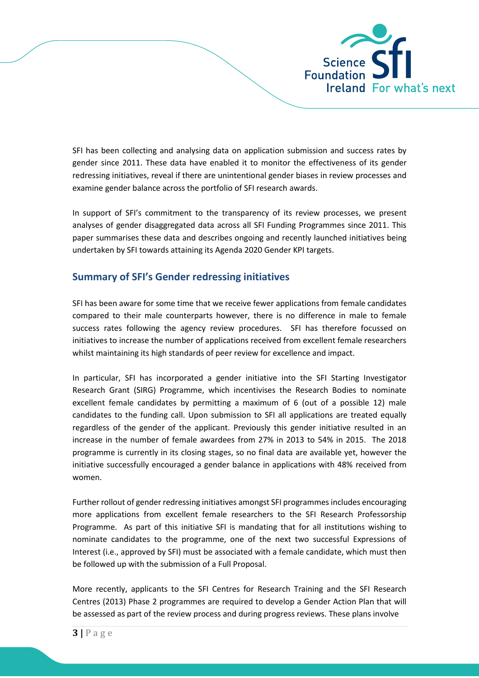

SFI has been collecting and analysing data on application submission and success rates by gender since 2011. These data have enabled it to monitor the effectiveness of its gender redressing initiatives, reveal if there are unintentional gender biases in review processes and examine gender balance across the portfolio of SFI research awards.

In support of SFI's commitment to the transparency of its review processes, we present analyses of gender disaggregated data across all SFI Funding Programmes since 2011. This paper summarises these data and describes ongoing and recently launched initiatives being undertaken by SFI towards attaining its Agenda 2020 Gender KPI targets.

## **Summary of SFI's Gender redressing initiatives**

SFI has been aware for some time that we receive fewer applications from female candidates compared to their male counterparts however, there is no difference in male to female success rates following the agency review procedures. SFI has therefore focussed on initiatives to increase the number of applications received from excellent female researchers whilst maintaining its high standards of peer review for excellence and impact.

In particular, SFI has incorporated a gender initiative into the SFI Starting Investigator Research Grant (SIRG) Programme, which incentivises the Research Bodies to nominate excellent female candidates by permitting a maximum of 6 (out of a possible 12) male candidates to the funding call. Upon submission to SFI all applications are treated equally regardless of the gender of the applicant. Previously this gender initiative resulted in an increase in the number of female awardees from 27% in 2013 to 54% in 2015. The 2018 programme is currently in its closing stages, so no final data are available yet, however the initiative successfully encouraged a gender balance in applications with 48% received from women.

Further rollout of gender redressing initiatives amongst SFI programmes includes encouraging more applications from excellent female researchers to the SFI Research Professorship Programme. As part of this initiative SFI is mandating that for all institutions wishing to nominate candidates to the programme, one of the next two successful Expressions of Interest (i.e., approved by SFI) must be associated with a female candidate, which must then be followed up with the submission of a Full Proposal.

More recently, applicants to the SFI Centres for Research Training and the SFI Research Centres (2013) Phase 2 programmes are required to develop a Gender Action Plan that will be assessed as part of the review process and during progress reviews. These plans involve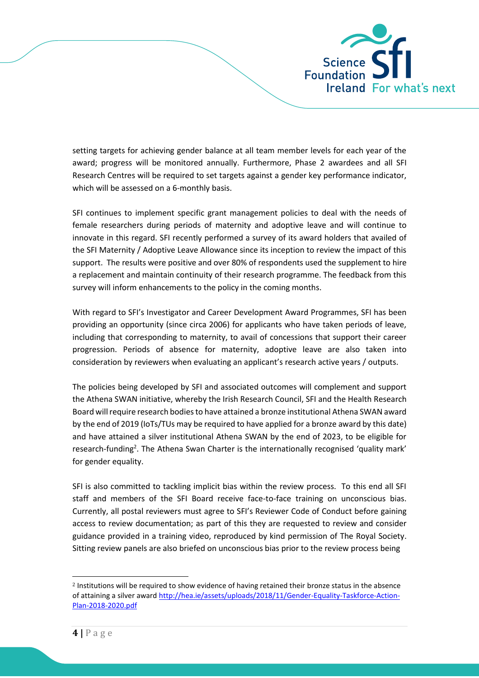

setting targets for achieving gender balance at all team member levels for each year of the award; progress will be monitored annually. Furthermore, Phase 2 awardees and all SFI Research Centres will be required to set targets against a gender key performance indicator, which will be assessed on a 6-monthly basis.

SFI continues to implement specific grant management policies to deal with the needs of female researchers during periods of maternity and adoptive leave and will continue to innovate in this regard. SFI recently performed a survey of its award holders that availed of the SFI Maternity / Adoptive Leave Allowance since its inception to review the impact of this support. The results were positive and over 80% of respondents used the supplement to hire a replacement and maintain continuity of their research programme. The feedback from this survey will inform enhancements to the policy in the coming months.

With regard to SFI's Investigator and Career Development Award Programmes, SFI has been providing an opportunity (since circa 2006) for applicants who have taken periods of leave, including that corresponding to maternity, to avail of concessions that support their career progression. Periods of absence for maternity, adoptive leave are also taken into consideration by reviewers when evaluating an applicant's research active years / outputs.

The policies being developed by SFI and associated outcomes will complement and support the Athena SWAN initiative, whereby the Irish Research Council, SFI and the Health Research Board will require research bodies to have attained a bronze institutional Athena SWAN award by the end of 2019 (IoTs/TUs may be required to have applied for a bronze award by this date) and have attained a silver institutional Athena SWAN by the end of 2023, to be eligible for research-funding<sup>2</sup>. The Athena Swan Charter is the internationally recognised 'quality mark' for gender equality.

SFI is also committed to tackling implicit bias within the review process. To this end all SFI staff and members of the SFI Board receive face-to-face training on unconscious bias. Currently, all postal reviewers must agree to SFI's Reviewer Code of Conduct before gaining access to review documentation; as part of this they are requested to review and consider guidance provided in a training video, reproduced by kind permission of The Royal Society. Sitting review panels are also briefed on unconscious bias prior to the review process being

<sup>2</sup> Institutions will be required to show evidence of having retained their bronze status in the absence of attaining a silver award [http://hea.ie/assets/uploads/2018/11/Gender-Equality-Taskforce-Action-](http://hea.ie/assets/uploads/2018/11/Gender-Equality-Taskforce-Action-Plan-2018-2020.pdf)[Plan-2018-2020.pdf](http://hea.ie/assets/uploads/2018/11/Gender-Equality-Taskforce-Action-Plan-2018-2020.pdf)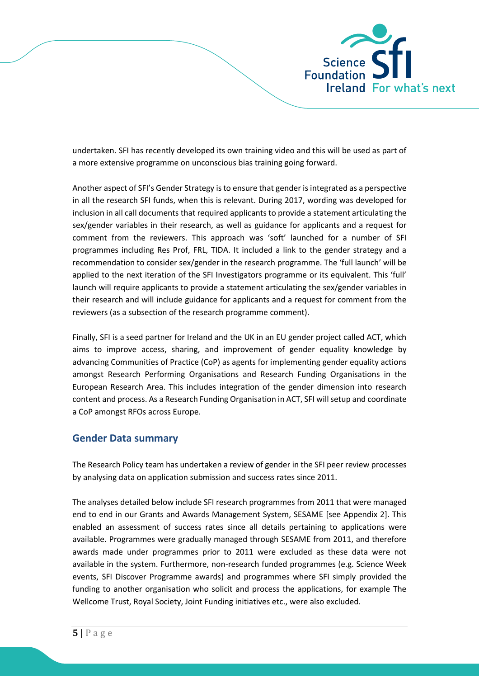

undertaken. SFI has recently developed its own training video and this will be used as part of a more extensive programme on unconscious bias training going forward.

Another aspect of SFI's Gender Strategy is to ensure that gender is integrated as a perspective in all the research SFI funds, when this is relevant. During 2017, wording was developed for inclusion in all call documents that required applicants to provide a statement articulating the sex/gender variables in their research, as well as guidance for applicants and a request for comment from the reviewers. This approach was 'soft' launched for a number of SFI programmes including Res Prof, FRL, TIDA. It included a link to the gender strategy and a recommendation to consider sex/gender in the research programme. The 'full launch' will be applied to the next iteration of the SFI Investigators programme or its equivalent. This 'full' launch will require applicants to provide a statement articulating the sex/gender variables in their research and will include guidance for applicants and a request for comment from the reviewers (as a subsection of the research programme comment).

Finally, SFI is a seed partner for Ireland and the UK in an EU gender project called ACT, which aims to improve access, sharing, and improvement of gender equality knowledge by advancing Communities of Practice (CoP) as agents for implementing gender equality actions amongst Research Performing Organisations and Research Funding Organisations in the European Research Area. This includes integration of the gender dimension into research content and process. As a Research Funding Organisation in ACT, SFI will setup and coordinate a CoP amongst RFOs across Europe.

## **Gender Data summary**

The Research Policy team has undertaken a review of gender in the SFI peer review processes by analysing data on application submission and success rates since 2011.

The analyses detailed below include SFI research programmes from 2011 that were managed end to end in our Grants and Awards Management System, SESAME [see Appendix 2]. This enabled an assessment of success rates since all details pertaining to applications were available. Programmes were gradually managed through SESAME from 2011, and therefore awards made under programmes prior to 2011 were excluded as these data were not available in the system. Furthermore, non-research funded programmes (e.g. Science Week events, SFI Discover Programme awards) and programmes where SFI simply provided the funding to another organisation who solicit and process the applications, for example The Wellcome Trust, Royal Society, Joint Funding initiatives etc., were also excluded.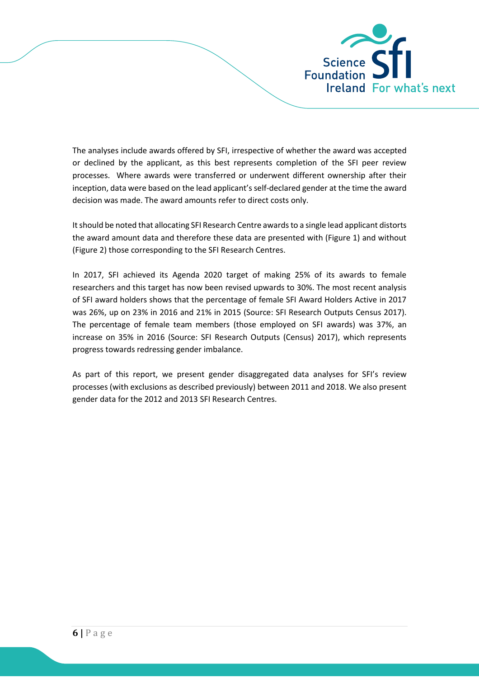

The analyses include awards offered by SFI, irrespective of whether the award was accepted or declined by the applicant, as this best represents completion of the SFI peer review processes. Where awards were transferred or underwent different ownership after their inception, data were based on the lead applicant's self-declared gender at the time the award decision was made. The award amounts refer to direct costs only.

It should be noted that allocating SFI Research Centre awards to a single lead applicant distorts the award amount data and therefore these data are presented with (Figure 1) and without (Figure 2) those corresponding to the SFI Research Centres.

In 2017, SFI achieved its Agenda 2020 target of making 25% of its awards to female researchers and this target has now been revised upwards to 30%. The most recent analysis of SFI award holders shows that the percentage of female SFI Award Holders Active in 2017 was 26%, up on 23% in 2016 and 21% in 2015 (Source: SFI Research Outputs Census 2017). The percentage of female team members (those employed on SFI awards) was 37%, an increase on 35% in 2016 (Source: SFI Research Outputs (Census) 2017), which represents progress towards redressing gender imbalance.

As part of this report, we present gender disaggregated data analyses for SFI's review processes (with exclusions as described previously) between 2011 and 2018. We also present gender data for the 2012 and 2013 SFI Research Centres.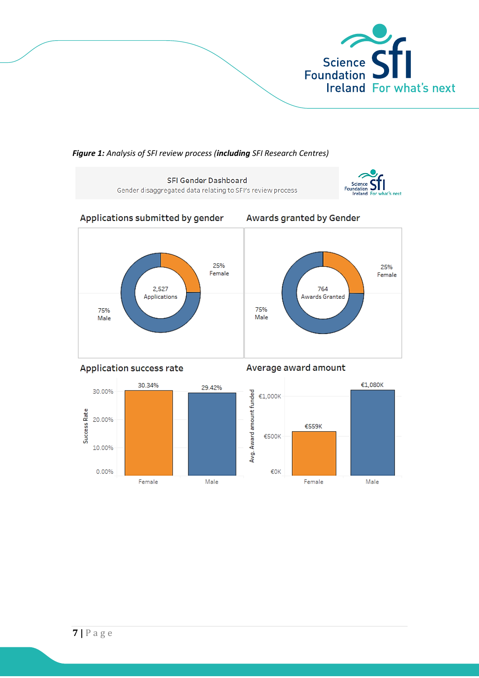

*Figure 1: Analysis of SFI review process (including SFI Research Centres)*





# Applications submitted by gender



## Awards granted by Gender





### Average award amount

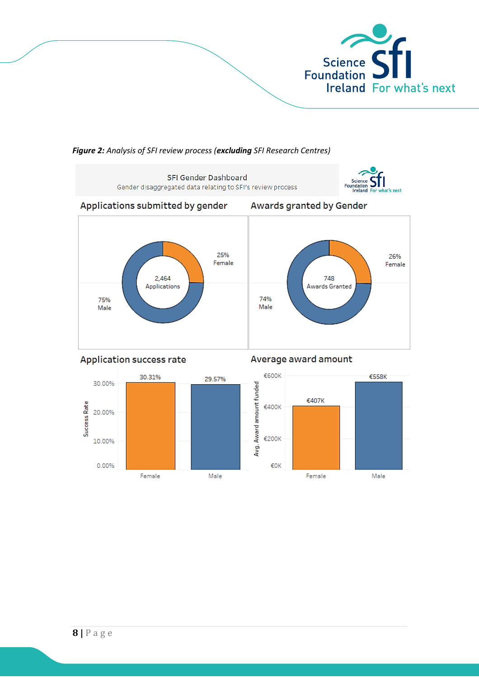

**SFI Gender Dashboard** Gender disaggregated data relating to SFI's review process Applications submitted by gender Awards granted by Gender 25% 26% Female Female 2,464 748 Applications Awards Granted 74% 75% Male Male Application success rate Average award amount €600К €558K 30.31% 29.57% 30.00%

*Figure 2: Analysis of SFI review process (excluding SFI Research Centres)*

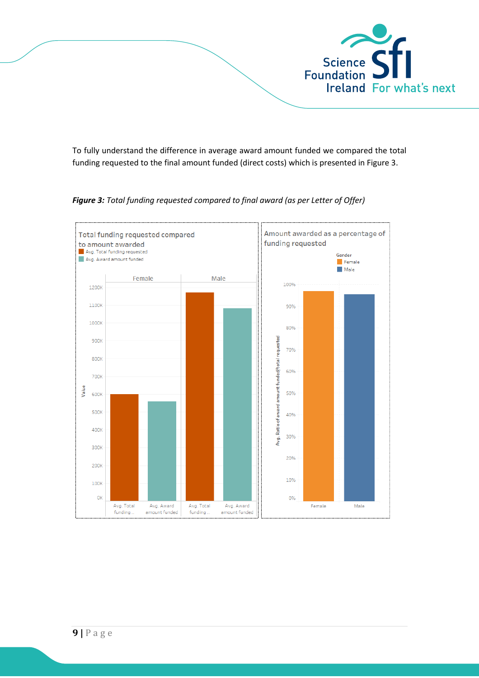

To fully understand the difference in average award amount funded we compared the total funding requested to the final amount funded (direct costs) which is presented in Figure 3.



*Figure 3: Total funding requested compared to final award (as per Letter of Offer)*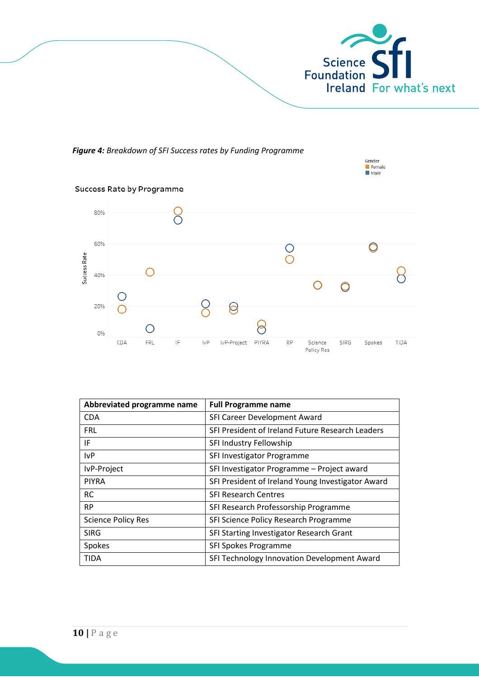

*Figure 4: Breakdown of SFI Success rates by Funding Programme*



| Abbreviated programme name | <b>Full Programme name</b>                        |
|----------------------------|---------------------------------------------------|
| <b>CDA</b>                 | SFI Career Development Award                      |
| <b>FRL</b>                 | SFI President of Ireland Future Research Leaders  |
| IF                         | SFI Industry Fellowship                           |
| <b>IvP</b>                 | SFI Investigator Programme                        |
| IvP-Project                | SFI Investigator Programme - Project award        |
| <b>PIYRA</b>               | SFI President of Ireland Young Investigator Award |
| <b>RC</b>                  | <b>SFI Research Centres</b>                       |
| <b>RP</b>                  | SFI Research Professorship Programme              |
| <b>Science Policy Res</b>  | SFI Science Policy Research Programme             |
| <b>SIRG</b>                | SFI Starting Investigator Research Grant          |
| Spokes                     | SFI Spokes Programme                              |
| <b>TIDA</b>                | SFI Technology Innovation Development Award       |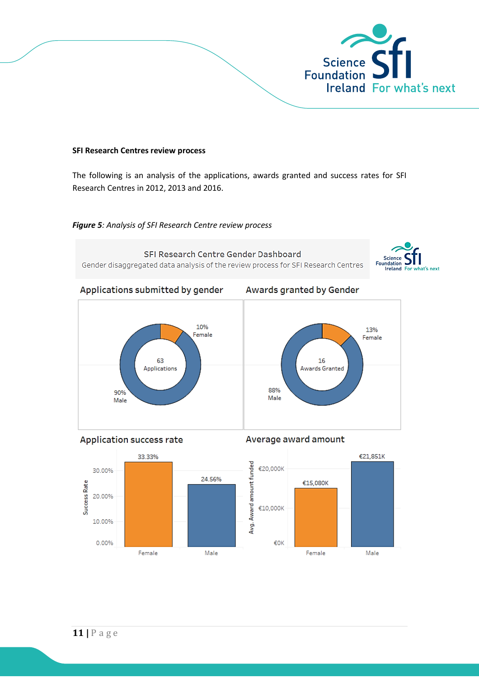

13%

Female

#### **SFI Research Centres review process**

The following is an analysis of the applications, awards granted and success rates for SFI Research Centres in 2012, 2013 and 2016.

#### *Figure 5: Analysis of SFI Research Centre review process*

SFI Research Centre Gender Dashboard Foundation<br>Ireland Gender disaggregated data analysis of the review process for SFI Research Centres Applications submitted by gender Awards granted by Gender



#### Application success rate

Average award amount

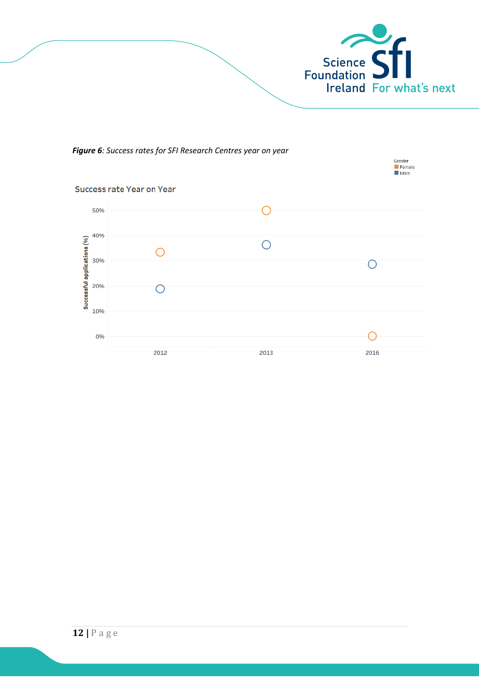

Gender<br>E Female<br>E Male

*Figure 6: Success rates for SFI Research Centres year on year*

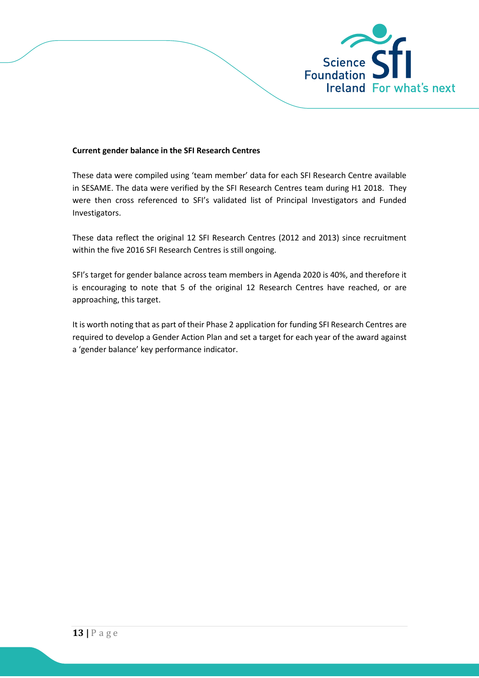

#### **Current gender balance in the SFI Research Centres**

These data were compiled using 'team member' data for each SFI Research Centre available in SESAME. The data were verified by the SFI Research Centres team during H1 2018. They were then cross referenced to SFI's validated list of Principal Investigators and Funded Investigators.

These data reflect the original 12 SFI Research Centres (2012 and 2013) since recruitment within the five 2016 SFI Research Centres is still ongoing.

SFI's target for gender balance across team members in Agenda 2020 is 40%, and therefore it is encouraging to note that 5 of the original 12 Research Centres have reached, or are approaching, this target.

It is worth noting that as part of their Phase 2 application for funding SFI Research Centres are required to develop a Gender Action Plan and set a target for each year of the award against a 'gender balance' key performance indicator.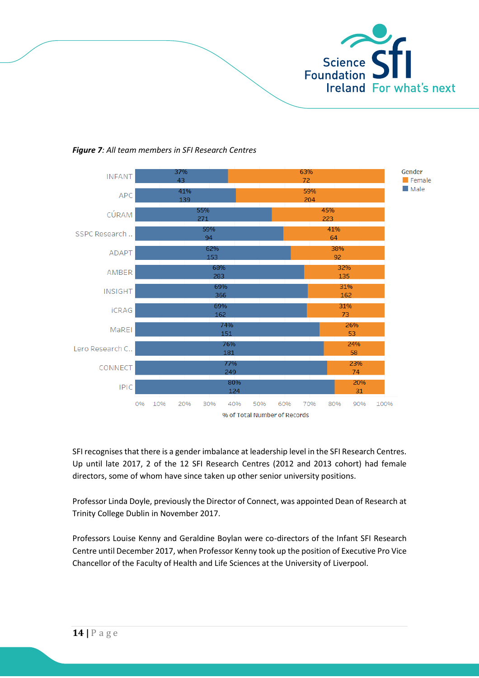



*Figure 7: All team members in SFI Research Centres*

SFI recognises that there is a gender imbalance at leadership level in the SFI Research Centres. Up until late 2017, 2 of the 12 SFI Research Centres (2012 and 2013 cohort) had female directors, some of whom have since taken up other senior university positions.

Professor Linda Doyle, previously the Director of Connect, was appointed Dean of Research at Trinity College Dublin in November 2017.

Professors Louise Kenny and Geraldine Boylan were co-directors of the Infant SFI Research Centre until December 2017, when Professor Kenny took up the position of Executive Pro Vice Chancellor of the Faculty of Health and Life Sciences at the University of Liverpool.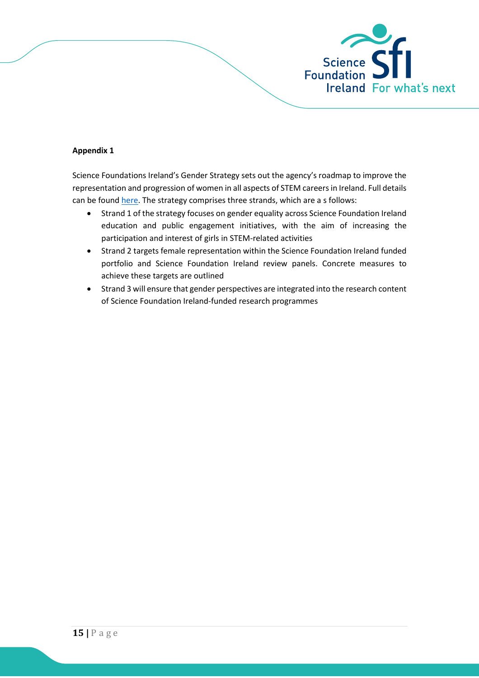

## **Appendix 1**

Science Foundations Ireland's Gender Strategy sets out the agency's roadmap to improve the representation and progression of women in all aspects of STEM careers in Ireland. Full details can be found [here.](https://www.sfi.ie/resources/SFI-Gender-Strategy-2016-2020.pdf) The strategy comprises three strands, which are a s follows:

- Strand 1 of the strategy focuses on gender equality across Science Foundation Ireland education and public engagement initiatives, with the aim of increasing the participation and interest of girls in STEM-related activities
- Strand 2 targets female representation within the Science Foundation Ireland funded portfolio and Science Foundation Ireland review panels. Concrete measures to achieve these targets are outlined
- Strand 3 will ensure that gender perspectives are integrated into the research content of Science Foundation Ireland-funded research programmes